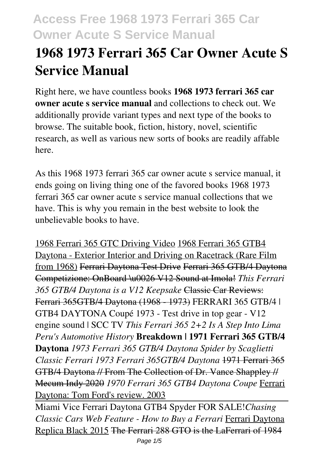# **1968 1973 Ferrari 365 Car Owner Acute S Service Manual**

Right here, we have countless books **1968 1973 ferrari 365 car owner acute s service manual** and collections to check out. We additionally provide variant types and next type of the books to browse. The suitable book, fiction, history, novel, scientific research, as well as various new sorts of books are readily affable here.

As this 1968 1973 ferrari 365 car owner acute s service manual, it ends going on living thing one of the favored books 1968 1973 ferrari 365 car owner acute s service manual collections that we have. This is why you remain in the best website to look the unbelievable books to have.

1968 Ferrari 365 GTC Driving Video 1968 Ferrari 365 GTB4 Daytona - Exterior Interior and Driving on Racetrack (Rare Film from 1968) Ferrari Daytona Test Drive Ferrari 365 GTB/4 Daytona Competizione: OnBoard \u0026 V12 Sound at Imola! *This Ferrari 365 GTB/4 Daytona is a V12 Keepsake* Classic Car Reviews: Ferrari 365GTB/4 Daytona (1968 - 1973) FERRARI 365 GTB/4 | GTB4 DAYTONA Coupé 1973 - Test drive in top gear - V12 engine sound | SCC TV *This Ferrari 365 2+2 Is A Step Into Lima Peru's Automotive History* **Breakdown | 1971 Ferrari 365 GTB/4 Daytona** *1973 Ferrari 365 GTB/4 Daytona Spider by Scaglietti Classic Ferrari 1973 Ferrari 365GTB/4 Daytona* 1971 Ferrari 365 GTB/4 Daytona // From The Collection of Dr. Vance Shappley // Mecum Indy 2020 *1970 Ferrari 365 GTB4 Daytona Coupe* Ferrari Daytona: Tom Ford's review. 2003

Miami Vice Ferrari Daytona GTB4 Spyder FOR SALE!*Chasing Classic Cars Web Feature - How to Buy a Ferrari* Ferrari Daytona Replica Black 2015 The Ferrari 288 GTO is the LaFerrari of 1984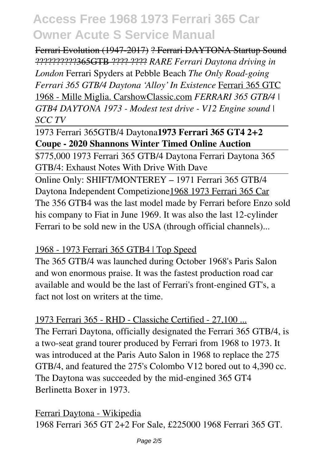Ferrari Evolution (1947-2017) ? Ferrari DAYTONA Startup Sound ??????????365GTB ???? ???? *RARE Ferrari Daytona driving in London* Ferrari Spyders at Pebble Beach *The Only Road-going Ferrari 365 GTB/4 Daytona 'Alloy' In Existence* Ferrari 365 GTC 1968 - Mille Miglia. CarshowClassic.com *FERRARI 365 GTB/4 | GTB4 DAYTONA 1973 - Modest test drive - V12 Engine sound | SCC TV*

### 1973 Ferrari 365GTB/4 Daytona**1973 Ferrari 365 GT4 2+2 Coupe - 2020 Shannons Winter Timed Online Auction**

\$775,000 1973 Ferrari 365 GTB/4 Daytona Ferrari Daytona 365 GTB/4: Exhaust Notes With Drive With Dave

Online Only: SHIFT/MONTEREY – 1971 Ferrari 365 GTB/4 Daytona Independent Competizione1968 1973 Ferrari 365 Car The 356 GTB4 was the last model made by Ferrari before Enzo sold his company to Fiat in June 1969. It was also the last 12-cylinder Ferrari to be sold new in the USA (through official channels)...

### 1968 - 1973 Ferrari 365 GTB4 | Top Speed

The 365 GTB/4 was launched during October 1968's Paris Salon and won enormous praise. It was the fastest production road car available and would be the last of Ferrari's front-engined GT's, a fact not lost on writers at the time.

1973 Ferrari 365 - RHD - Classiche Certified - 27,100 ... The Ferrari Daytona, officially designated the Ferrari 365 GTB/4, is a two-seat grand tourer produced by Ferrari from 1968 to 1973. It was introduced at the Paris Auto Salon in 1968 to replace the 275 GTB/4, and featured the 275's Colombo V12 bored out to 4,390 cc. The Daytona was succeeded by the mid-engined 365 GT4 Berlinetta Boxer in 1973.

Ferrari Daytona - Wikipedia 1968 Ferrari 365 GT 2+2 For Sale, £225000 1968 Ferrari 365 GT.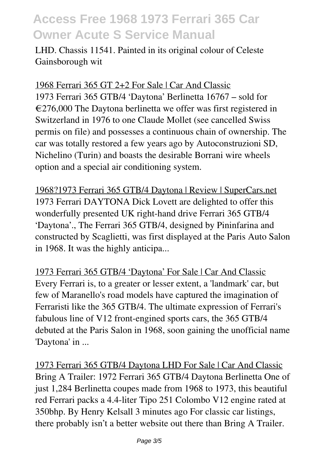LHD. Chassis 11541. Painted in its original colour of Celeste Gainsborough wit

1968 Ferrari 365 GT 2+2 For Sale | Car And Classic 1973 Ferrari 365 GTB/4 'Daytona' Berlinetta 16767 – sold for  $\epsilon$ 276,000 The Daytona berlinetta we offer was first registered in Switzerland in 1976 to one Claude Mollet (see cancelled Swiss permis on file) and possesses a continuous chain of ownership. The car was totally restored a few years ago by Autoconstruzioni SD, Nichelino (Turin) and boasts the desirable Borrani wire wheels option and a special air conditioning system.

1968?1973 Ferrari 365 GTB/4 Daytona | Review | SuperCars.net 1973 Ferrari DAYTONA Dick Lovett are delighted to offer this wonderfully presented UK right-hand drive Ferrari 365 GTB/4 'Daytona'., The Ferrari 365 GTB/4, designed by Pininfarina and constructed by Scaglietti, was first displayed at the Paris Auto Salon in 1968. It was the highly anticipa...

1973 Ferrari 365 GTB/4 'Daytona' For Sale | Car And Classic Every Ferrari is, to a greater or lesser extent, a 'landmark' car, but few of Maranello's road models have captured the imagination of Ferraristi like the 365 GTB/4. The ultimate expression of Ferrari's fabulous line of V12 front-engined sports cars, the 365 GTB/4 debuted at the Paris Salon in 1968, soon gaining the unofficial name 'Daytona' in ...

1973 Ferrari 365 GTB/4 Daytona LHD For Sale | Car And Classic Bring A Trailer: 1972 Ferrari 365 GTB/4 Daytona Berlinetta One of just 1,284 Berlinetta coupes made from 1968 to 1973, this beautiful red Ferrari packs a 4.4-liter Tipo 251 Colombo V12 engine rated at 350bhp. By Henry Kelsall 3 minutes ago For classic car listings, there probably isn't a better website out there than Bring A Trailer.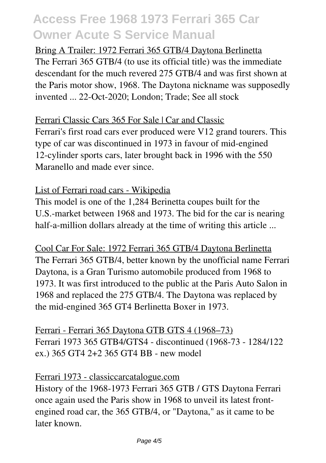### Bring A Trailer: 1972 Ferrari 365 GTB/4 Daytona Berlinetta The Ferrari 365 GTB/4 (to use its official title) was the immediate descendant for the much revered 275 GTB/4 and was first shown at the Paris motor show, 1968. The Daytona nickname was supposedly invented ... 22-Oct-2020; London; Trade; See all stock

#### Ferrari Classic Cars 365 For Sale | Car and Classic Ferrari's first road cars ever produced were V12 grand tourers. This type of car was discontinued in 1973 in favour of mid-engined

12-cylinder sports cars, later brought back in 1996 with the 550 Maranello and made ever since.

### List of Ferrari road cars - Wikipedia

This model is one of the 1,284 Berinetta coupes built for the U.S.-market between 1968 and 1973. The bid for the car is nearing half-a-million dollars already at the time of writing this article ...

Cool Car For Sale: 1972 Ferrari 365 GTB/4 Daytona Berlinetta The Ferrari 365 GTB/4, better known by the unofficial name Ferrari Daytona, is a Gran Turismo automobile produced from 1968 to 1973. It was first introduced to the public at the Paris Auto Salon in 1968 and replaced the 275 GTB/4. The Daytona was replaced by the mid-engined 365 GT4 Berlinetta Boxer in 1973.

Ferrari - Ferrari 365 Daytona GTB GTS 4 (1968–73) Ferrari 1973 365 GTB4/GTS4 - discontinued (1968-73 - 1284/122 ex.) 365 GT4 2+2 365 GT4 BB - new model

### Ferrari 1973 - classiccarcatalogue.com

History of the 1968-1973 Ferrari 365 GTB / GTS Daytona Ferrari once again used the Paris show in 1968 to unveil its latest frontengined road car, the 365 GTB/4, or "Daytona," as it came to be later known.